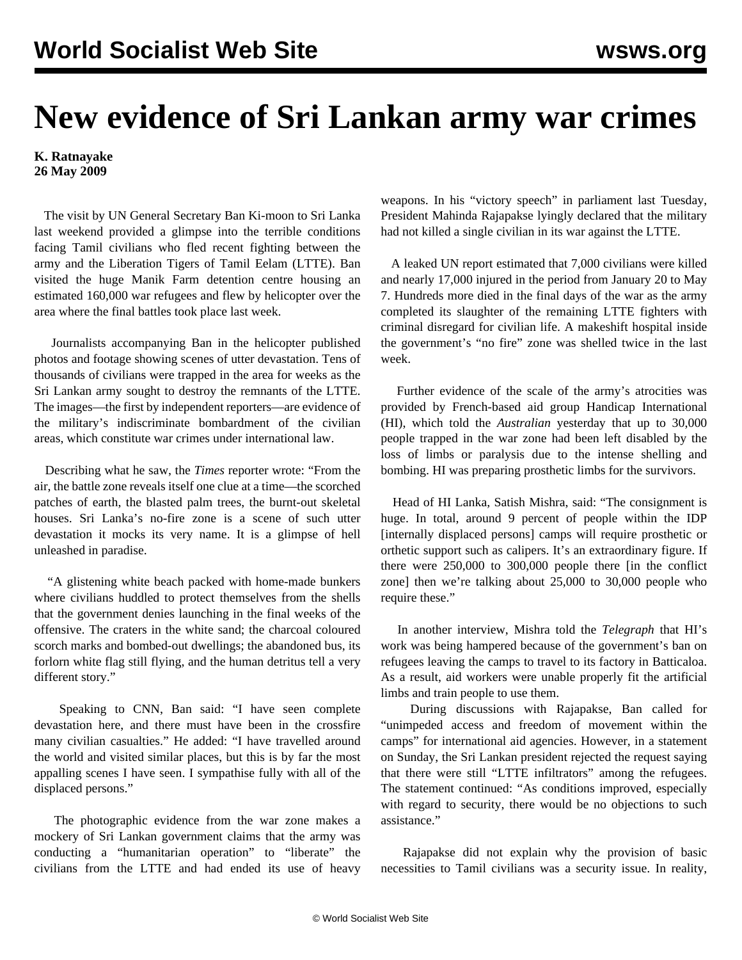## **New evidence of Sri Lankan army war crimes**

## **K. Ratnayake 26 May 2009**

 The visit by UN General Secretary Ban Ki-moon to Sri Lanka last weekend provided a glimpse into the terrible conditions facing Tamil civilians who fled recent fighting between the army and the Liberation Tigers of Tamil Eelam (LTTE). Ban visited the huge Manik Farm detention centre housing an estimated 160,000 war refugees and flew by helicopter over the area where the final battles took place last week.

 Journalists accompanying Ban in the helicopter published photos and footage showing scenes of utter devastation. Tens of thousands of civilians were trapped in the area for weeks as the Sri Lankan army sought to destroy the remnants of the LTTE. The images—the first by independent reporters—are evidence of the military's indiscriminate bombardment of the civilian areas, which constitute war crimes under international law.

 Describing what he saw, the *Times* reporter wrote: "From the air, the battle zone reveals itself one clue at a time—the scorched patches of earth, the blasted palm trees, the burnt-out skeletal houses. Sri Lanka's no-fire zone is a scene of such utter devastation it mocks its very name. It is a glimpse of hell unleashed in paradise.

 "A glistening white beach packed with home-made bunkers where civilians huddled to protect themselves from the shells that the government denies launching in the final weeks of the offensive. The craters in the white sand; the charcoal coloured scorch marks and bombed-out dwellings; the abandoned bus, its forlorn white flag still flying, and the human detritus tell a very different story."

 Speaking to CNN, Ban said: "I have seen complete devastation here, and there must have been in the crossfire many civilian casualties." He added: "I have travelled around the world and visited similar places, but this is by far the most appalling scenes I have seen. I sympathise fully with all of the displaced persons."

 The photographic evidence from the war zone makes a mockery of Sri Lankan government claims that the army was conducting a "humanitarian operation" to "liberate" the civilians from the LTTE and had ended its use of heavy weapons. In his "victory speech" in parliament last Tuesday, President Mahinda Rajapakse lyingly declared that the military had not killed a single civilian in its war against the LTTE.

 A leaked UN report estimated that 7,000 civilians were killed and nearly 17,000 injured in the period from January 20 to May 7. Hundreds more died in the final days of the war as the army completed its slaughter of the remaining LTTE fighters with criminal disregard for civilian life. A makeshift hospital inside the government's "no fire" zone was shelled twice in the last week.

 Further evidence of the scale of the army's atrocities was provided by French-based aid group Handicap International (HI), which told the *Australian* yesterday that up to 30,000 people trapped in the war zone had been left disabled by the loss of limbs or paralysis due to the intense shelling and bombing. HI was preparing prosthetic limbs for the survivors.

 Head of HI Lanka, Satish Mishra, said: "The consignment is huge. In total, around 9 percent of people within the IDP [internally displaced persons] camps will require prosthetic or orthetic support such as calipers. It's an extraordinary figure. If there were 250,000 to 300,000 people there [in the conflict zone] then we're talking about 25,000 to 30,000 people who require these."

 In another interview, Mishra told the *Telegraph* that HI's work was being hampered because of the government's ban on refugees leaving the camps to travel to its factory in Batticaloa. As a result, aid workers were unable properly fit the artificial limbs and train people to use them.

 During discussions with Rajapakse, Ban called for "unimpeded access and freedom of movement within the camps" for international aid agencies. However, in a statement on Sunday, the Sri Lankan president rejected the request saying that there were still "LTTE infiltrators" among the refugees. The statement continued: "As conditions improved, especially with regard to security, there would be no objections to such assistance."

 Rajapakse did not explain why the provision of basic necessities to Tamil civilians was a security issue. In reality,